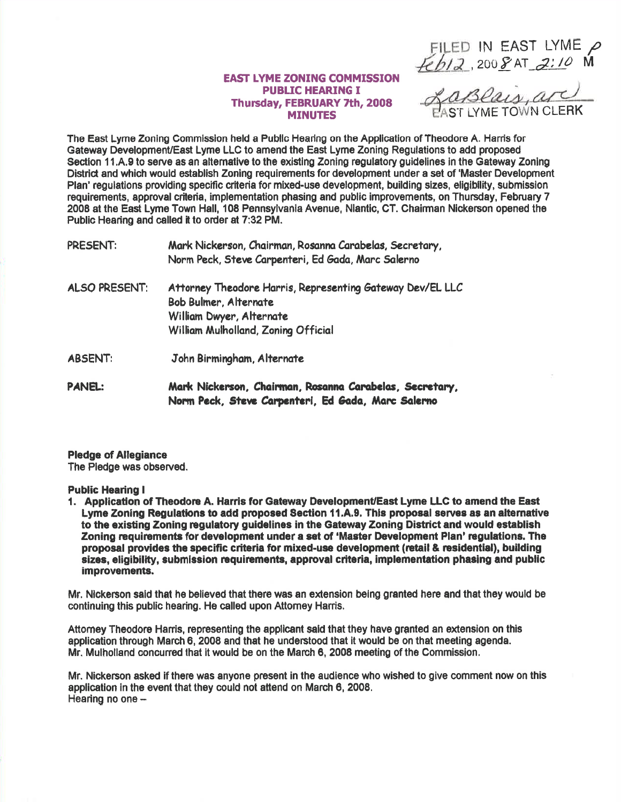FILED IN EAST LYME  $\rho$ <br> $\overline{f}ebi2$ , 200 $\overline{g}$  at  $\overline{g}$ : 10 M

## **EAST LYME ZONING COMMISSION PUBLIC HEARING I** Thursday, FEBRUARY 7th, 2008 **MINUTES**

<u>Laseais, and</u>

The East Lyme Zoning Commission held a Public Hearing on the Application of Theodore A. Harris for Gateway Development/East Lyme LLC to amend the East Lyme Zoning Regulations to add proposed Section 11.A.9 to serve as an alternative to the existing Zoning regulatory guidelines in the Gateway Zoning District and which would establish Zoning requirements for development under a set of 'Master Development' Plan' requiations providing specific criteria for mixed-use development, building sizes, eligibility, submission requirements, approval criteria, implementation phasing and public improvements, on Thursday, February 7 2008 at the East Lyme Town Hall, 108 Pennsylvania Avenue, Niantic, CT, Chairman Nickerson opened the Public Hearing and called it to order at 7:32 PM.

| PRESENT:       | Mark Nickerson, Chairman, Rosanna Carabelas, Secretary,<br>Norm Peck, Steve Carpenteri, Ed Gada, Marc Salerno                                         |
|----------------|-------------------------------------------------------------------------------------------------------------------------------------------------------|
| ALSO PRESENT:  | Attorney Theodore Harris, Representing Gateway Dev/EL LLC<br>Bob Bulmer, Alternate<br>William Dwyer, Alternate<br>William Mulholland, Zoning Official |
| <b>ABSENT:</b> | John Birmingham, Alternate                                                                                                                            |
| <b>PANEL:</b>  | Mark Nickerson, Chairman, Rosanna Carabelas, Secretary,<br>Norm Peck, Steve Carpenteri, Ed Gada, Marc Salerno                                         |

## **Pledge of Allegiance**

The Piedge was observed.

## **Public Hearing I**

1. Application of Theodore A. Harris for Gateway Development/East Lyme LLC to amend the East Lyme Zoning Regulations to add proposed Section 11.A.9. This proposal serves as an alternative to the existing Zoning regulatory guidelines in the Gateway Zoning District and would establish Zoning requirements for development under a set of 'Master Development Plan' requiations. The proposal provides the specific criteria for mixed-use development (retail & residential), building sizes, eligibility, submission requirements, approval criteria, implementation phasing and public improvements.

Mr. Nickerson said that he believed that there was an extension being granted here and that they would be continuing this public hearing. He called upon Attorney Harris.

Attorney Theodore Harris, representing the applicant said that they have granted an extension on this application through March 6, 2008 and that he understood that it would be on that meeting agenda. Mr. Mulholland concurred that it would be on the March 6, 2008 meeting of the Commission.

Mr. Nickerson asked if there was anyone present in the audience who wished to give comment now on this application in the event that they could not attend on March 6, 2008. Hearing no one -